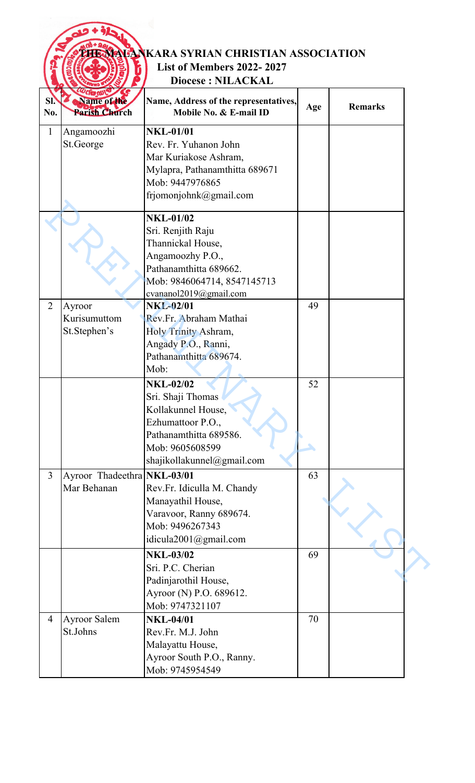|                |                              | <b>EXEMENTANKARA SYRIAN CHRISTIAN ASSOCIATION</b>               |     |                |
|----------------|------------------------------|-----------------------------------------------------------------|-----|----------------|
|                |                              | <b>List of Members 2022-2027</b>                                |     |                |
|                |                              | <b>Diocese: NILACKAL</b>                                        |     |                |
| SI.<br>No.     | Name of the<br>Parish Church | Name, Address of the representatives,<br>Mobile No. & E-mail ID | Age | <b>Remarks</b> |
| 1              | Angamoozhi                   | <b>NKL-01/01</b>                                                |     |                |
|                | St.George                    | Rev. Fr. Yuhanon John                                           |     |                |
|                |                              | Mar Kuriakose Ashram,                                           |     |                |
|                |                              | Mylapra, Pathanamthitta 689671                                  |     |                |
|                |                              | Mob: 9447976865                                                 |     |                |
|                |                              | frjomonjohnk@gmail.com                                          |     |                |
|                |                              | <b>NKL-01/02</b>                                                |     |                |
|                |                              | Sri. Renjith Raju                                               |     |                |
|                |                              | Thannickal House,                                               |     |                |
|                |                              | Angamoozhy P.O.,                                                |     |                |
|                |                              | Pathanamthitta 689662.                                          |     |                |
|                |                              | Mob: 9846064714, 8547145713                                     |     |                |
|                |                              | cvananol2019@gmail.com                                          |     |                |
| $\overline{2}$ | Ayroor                       | <b>NKL-02/01</b>                                                | 49  |                |
|                | Kurisumuttom                 | Rev.Fr. Abraham Mathai                                          |     |                |
|                | St.Stephen's                 | Holy Trinity Ashram,                                            |     |                |
|                |                              | Angady P.O., Ranni,                                             |     |                |
|                |                              | Pathanamthitta 689674.                                          |     |                |
|                |                              | Mob:                                                            |     |                |
|                |                              | <b>NKL-02/02</b>                                                | 52  |                |
|                |                              | Sri. Shaji Thomas                                               |     |                |
|                |                              | Kollakunnel House,                                              |     |                |
|                |                              | Ezhumattoor P.O.,                                               |     |                |
|                |                              | Pathanamthitta 689586.                                          |     |                |
|                |                              | Mob: 9605608599                                                 |     |                |
|                |                              | shajikollakunnel@gmail.com                                      |     |                |
| $\overline{3}$ | Ayroor Thadeethra NKL-03/01  |                                                                 | 63  |                |
|                | Mar Behanan                  | Rev.Fr. Idiculla M. Chandy                                      |     |                |
|                |                              | Manayathil House,                                               |     |                |
|                |                              | Varavoor, Ranny 689674.                                         |     |                |
|                |                              | Mob: 9496267343                                                 |     |                |
|                |                              | idicula2001@gmail.com                                           |     |                |
|                |                              | <b>NKL-03/02</b>                                                | 69  |                |
|                |                              | Sri. P.C. Cherian                                               |     |                |
|                |                              | Padinjarothil House,                                            |     |                |
|                |                              | Ayroor (N) P.O. 689612.                                         |     |                |
|                |                              | Mob: 9747321107                                                 |     |                |
| $\overline{4}$ | <b>Ayroor Salem</b>          | <b>NKL-04/01</b>                                                | 70  |                |
|                | St.Johns                     | Rev.Fr. M.J. John                                               |     |                |
|                |                              | Malayattu House,                                                |     |                |
|                |                              | Ayroor South P.O., Ranny.                                       |     |                |
|                |                              | Mob: 9745954549                                                 |     |                |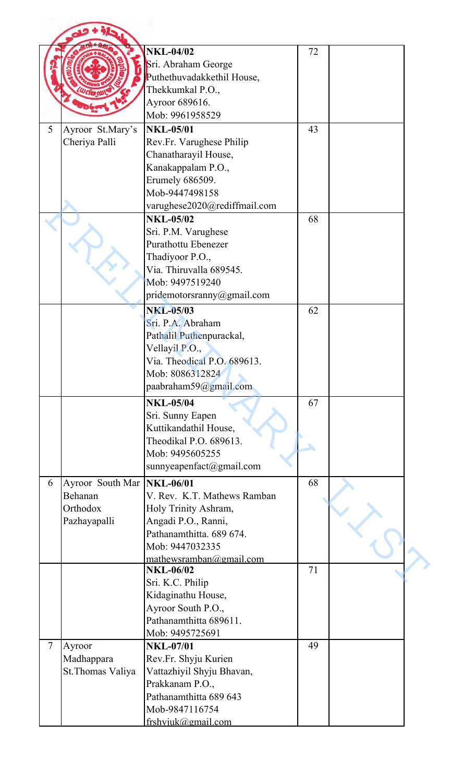|                |                   | <b>NKL-04/02</b>             |    |  |
|----------------|-------------------|------------------------------|----|--|
|                |                   |                              | 72 |  |
|                |                   | Sri. Abraham George          |    |  |
|                |                   | Puthethuvadakkethil House,   |    |  |
|                |                   | Thekkumkal P.O.,             |    |  |
|                |                   | Ayroor 689616.               |    |  |
|                |                   | Mob: 9961958529              |    |  |
| 5              | Ayroor St.Mary's  | <b>NKL-05/01</b>             | 43 |  |
|                | Cheriya Palli     | Rev.Fr. Varughese Philip     |    |  |
|                |                   | Chanatharayil House,         |    |  |
|                |                   | Kanakappalam P.O.,           |    |  |
|                |                   | Erumely 686509.              |    |  |
|                |                   | Mob-9447498158               |    |  |
|                |                   | varughese2020@rediffmail.com |    |  |
|                |                   | <b>NKL-05/02</b>             | 68 |  |
|                |                   | Sri. P.M. Varughese          |    |  |
|                |                   | <b>Purathottu Ebenezer</b>   |    |  |
|                |                   | Thadiyoor P.O.,              |    |  |
|                |                   | Via. Thiruvalla 689545.      |    |  |
|                |                   | Mob: 9497519240              |    |  |
|                |                   | pridemotorsranny@gmail.com   |    |  |
|                |                   | <b>NKL-05/03</b>             | 62 |  |
|                |                   | Sri. P.A. Abraham            |    |  |
|                |                   | Pathalil Puthenpurackal,     |    |  |
|                |                   | Vellayil P.O.,               |    |  |
|                |                   | Via. Theodical P.O. 689613.  |    |  |
|                |                   | Mob: 8086312824              |    |  |
|                |                   | paabraham59@gmail.com        |    |  |
|                |                   |                              |    |  |
|                |                   | <b>NKL-05/04</b>             | 67 |  |
|                |                   | Sri. Sunny Eapen             |    |  |
|                |                   | Kuttikandathil House,        |    |  |
|                |                   | Theodikal P.O. 689613.       |    |  |
|                |                   | Mob: 9495605255              |    |  |
|                |                   | sunnyeapenfact@gmail.com     |    |  |
| 6              | Ayroor South Mar  | <b>NKL-06/01</b>             | 68 |  |
|                | Behanan           | V. Rev. K.T. Mathews Ramban  |    |  |
|                | Orthodox          | Holy Trinity Ashram,         |    |  |
|                | Pazhayapalli      | Angadi P.O., Ranni,          |    |  |
|                |                   | Pathanamthitta. 689 674.     |    |  |
|                |                   | Mob: 9447032335              |    |  |
|                |                   | mathewsramban@gmail.com      |    |  |
|                |                   | <b>NKL-06/02</b>             | 71 |  |
|                |                   | Sri. K.C. Philip             |    |  |
|                |                   | Kidaginathu House,           |    |  |
|                |                   | Ayroor South P.O.,           |    |  |
|                |                   | Pathanamthitta 689611.       |    |  |
|                |                   | Mob: 9495725691              |    |  |
| $\overline{7}$ | Ayroor            | <b>NKL-07/01</b>             | 49 |  |
|                | Madhappara        | Rev.Fr. Shyju Kurien         |    |  |
|                | St. Thomas Valiya | Vattazhiyil Shyju Bhavan,    |    |  |
|                |                   | Prakkanam P.O.,              |    |  |
|                |                   | Pathanamthitta 689 643       |    |  |
|                |                   | Mob-9847116754               |    |  |
|                |                   | frshviuk@gmail.com           |    |  |
|                |                   |                              |    |  |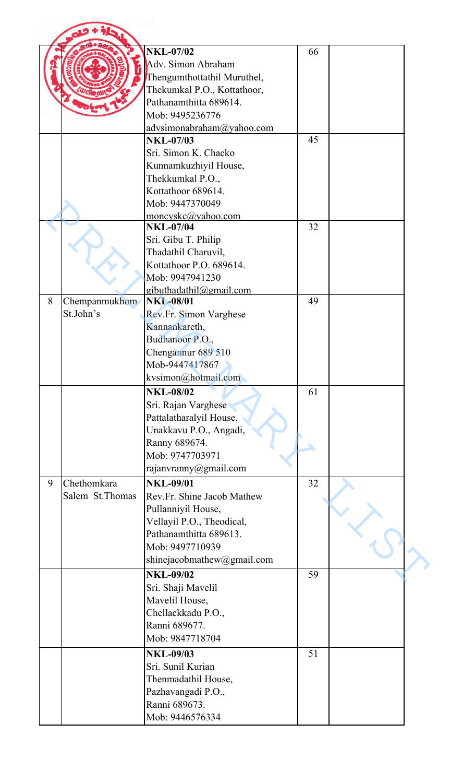|   |                  | <b>NKL-07/02</b>            | 66 |  |
|---|------------------|-----------------------------|----|--|
|   |                  | Adv. Simon Abraham          |    |  |
|   |                  | Thengumthottathil Muruthel, |    |  |
|   |                  | Thekumkal P.O., Kottathoor, |    |  |
|   |                  | Pathanamthitta 689614.      |    |  |
|   |                  | Mob: 9495236776             |    |  |
|   |                  | advsimonabraham@yahoo.com   |    |  |
|   |                  | <b>NKL-07/03</b>            | 45 |  |
|   |                  | Sri. Simon K. Chacko        |    |  |
|   |                  | Kunnamkuzhiyil House,       |    |  |
|   |                  | Thekkumkal P.O.,            |    |  |
|   |                  | Kottathoor 689614.          |    |  |
|   |                  | Mob: 9447370049             |    |  |
|   |                  | moncyskc@yahoo.com          |    |  |
|   |                  | <b>NKL-07/04</b>            | 32 |  |
|   |                  | Sri. Gibu T. Philip         |    |  |
|   |                  | Thadathil Charuvil,         |    |  |
|   |                  | Kottathoor P.O. 689614.     |    |  |
|   |                  | Mob: 9947941230             |    |  |
|   |                  | gibuthadathil@gmail.com     |    |  |
| 8 | Chempanmukhom    | <b>NKL-08/01</b>            | 49 |  |
|   | St.John's        | Rev.Fr. Simon Varghese      |    |  |
|   |                  | Kannankareth,               |    |  |
|   |                  | Budhanoor P.O.,             |    |  |
|   |                  | Chengannur 689 510          |    |  |
|   |                  | Mob-9447417867              |    |  |
|   |                  | kvsimon@hotmail.com         |    |  |
|   |                  | <b>NKL-08/02</b>            | 61 |  |
|   |                  | Sri. Rajan Varghese         |    |  |
|   |                  | Pattalatharalyil House,     |    |  |
|   |                  | Unakkavu P.O., Angadi,      |    |  |
|   |                  | Ranny 689674.               |    |  |
|   |                  | Mob: 9747703971             |    |  |
|   |                  | rajanvranny@gmail.com       |    |  |
| 9 | Chethomkara      | <b>NKL-09/01</b>            | 32 |  |
|   | Salem St. Thomas | Rev.Fr. Shine Jacob Mathew  |    |  |
|   |                  | Pullanniyil House,          |    |  |
|   |                  | Vellayil P.O., Theodical,   |    |  |
|   |                  | Pathanamthitta 689613.      |    |  |
|   |                  | Mob: 9497710939             |    |  |
|   |                  |                             |    |  |
|   |                  | shinejacobmathew@gmail.com  |    |  |
|   |                  | <b>NKL-09/02</b>            | 59 |  |
|   |                  | Sri. Shaji Mavelil          |    |  |
|   |                  | Mavelil House,              |    |  |
|   |                  | Chellackkadu P.O.,          |    |  |
|   |                  | Ranni 689677.               |    |  |
|   |                  | Mob: 9847718704             |    |  |
|   |                  | <b>NKL-09/03</b>            | 51 |  |
|   |                  | Sri. Sunil Kurian           |    |  |
|   |                  | Thenmadathil House,         |    |  |
|   |                  | Pazhavangadi P.O.,          |    |  |
|   |                  | Ranni 689673.               |    |  |
|   |                  |                             |    |  |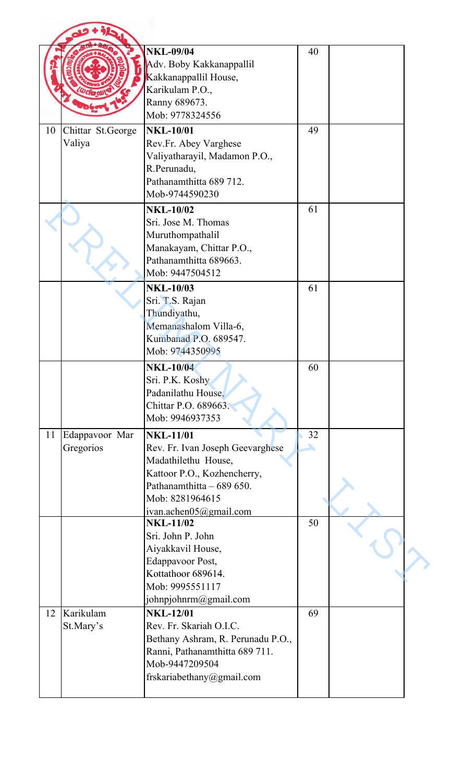|    |                             | <b>NKL-09/04</b><br>Adv. Boby Kakkanappallil<br>Kakkanappallil House,<br>Karikulam P.O.,<br>Ranny 689673.                                                                            | 40      |  |
|----|-----------------------------|--------------------------------------------------------------------------------------------------------------------------------------------------------------------------------------|---------|--|
|    |                             | Mob: 9778324556                                                                                                                                                                      |         |  |
| 10 | Chittar St.George<br>Valiya | <b>NKL-10/01</b><br>Rev.Fr. Abey Varghese<br>Valiyatharayil, Madamon P.O.,<br>R.Perunadu,<br>Pathanamthitta 689 712.<br>Mob-9744590230                                               | 49      |  |
|    |                             | <b>NKL-10/02</b><br>Sri. Jose M. Thomas<br>Muruthompathalil<br>Manakayam, Chittar P.O.,<br>Pathanamthitta 689663.<br>Mob: 9447504512                                                 | 61      |  |
|    |                             | <b>NKL-10/03</b><br>Sri. T.S. Rajan<br>Thundiyathu,<br>Memanashalom Villa-6,<br>Kumbanad P.O. 689547.<br>Mob: 9744350995                                                             | 61      |  |
|    |                             | <b>NKL-10/04</b><br>Sri. P.K. Koshy<br>Padanilathu House,<br>Chittar P.O. 689663.<br>Mob: 9946937353                                                                                 | 60      |  |
| 11 | Edappavoor Mar<br>Gregorios | <b>NKL-11/01</b><br>Rev. Fr. Ivan Joseph Geevarghese<br>Madathilethu House,<br>Kattoor P.O., Kozhencherry,<br>Pathanamthitta - 689 650.<br>Mob: 8281964615<br>ivan.achen05@gmail.com | 32<br>◣ |  |
|    |                             | <b>NKL-11/02</b><br>Sri. John P. John<br>Aiyakkavil House,<br><b>Edappavoor Post,</b><br>Kottathoor 689614.<br>Mob: 9995551117<br>johnpjohnrm@gmail.com                              | 50      |  |
| 12 | Karikulam<br>St.Mary's      | <b>NKL-12/01</b><br>Rev. Fr. Skariah O.I.C.<br>Bethany Ashram, R. Perunadu P.O.,<br>Ranni, Pathanamthitta 689 711.<br>Mob-9447209504<br>frskariabethany@gmail.com                    | 69      |  |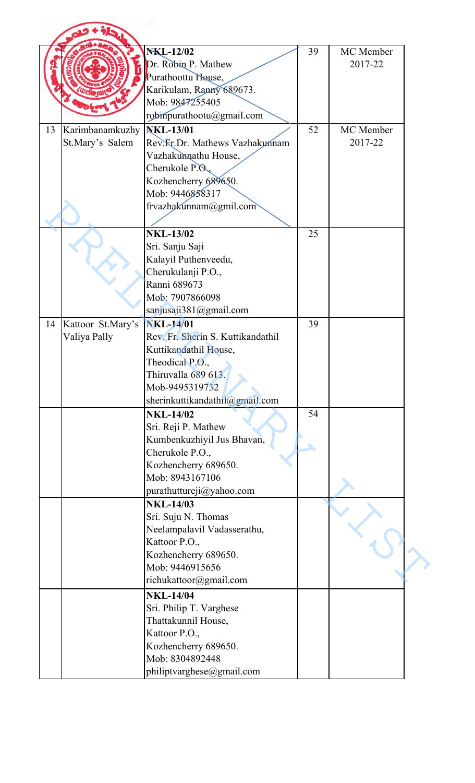|    |                   | <b>NKL-12/02</b>                  | 39 | MC Member |
|----|-------------------|-----------------------------------|----|-----------|
|    |                   | Dr. Robin P. Mathew               |    | 2017-22   |
|    |                   |                                   |    |           |
|    |                   | Purathoottu House,                |    |           |
|    |                   | Karikulam, Ranny 689673.          |    |           |
|    |                   | Mob: 9847255405                   |    |           |
|    |                   | robinpurathootu@gmail.com         |    |           |
| 13 | Karimbanamkuzhy   | <b>NKL-13/01</b>                  | 52 | MC Member |
|    | St.Mary's Salem   | Rev. Fr. Dr. Mathews Vazhakunnam  |    | 2017-22   |
|    |                   | Vazhakumathu House,               |    |           |
|    |                   | Cherukole P.O.                    |    |           |
|    |                   | Kozhencherry 689650.              |    |           |
|    |                   | Mob: 9446858317                   |    |           |
|    |                   | frvazhakunnam@gmil.com            |    |           |
|    |                   |                                   |    |           |
|    |                   |                                   |    |           |
|    |                   | <b>NKL-13/02</b>                  | 25 |           |
|    |                   | Sri. Sanju Saji                   |    |           |
|    |                   | Kalayil Puthenveedu,              |    |           |
|    |                   | Cherukulanji P.O.,                |    |           |
|    |                   | Ranni 689673                      |    |           |
|    |                   | Mob: 7907866098                   |    |           |
|    |                   | sanjusaji381@gmail.com            |    |           |
| 14 | Kattoor St.Mary's | <b>NKL-14/01</b>                  | 39 |           |
|    | Valiya Pally      | Rev. Fr. Sherin S. Kuttikandathil |    |           |
|    |                   | Kuttikandathil House,             |    |           |
|    |                   | Theodical P.O.,                   |    |           |
|    |                   | Thiruvalla 689 613.               |    |           |
|    |                   | Mob-9495319732                    |    |           |
|    |                   |                                   |    |           |
|    |                   | sherinkuttikandathil@gmail.com    |    |           |
|    |                   | <b>NKL-14/02</b>                  | 54 |           |
|    |                   | Sri. Reji P. Mathew               |    |           |
|    |                   | Kumbenkuzhiyil Jus Bhavan,        |    |           |
|    |                   | Cherukole P.O.,                   |    |           |
|    |                   | Kozhencherry 689650.              |    |           |
|    |                   | Mob: 8943167106                   |    |           |
|    |                   | purathuttureji@yahoo.com          |    |           |
|    |                   | <b>NKL-14/03</b>                  |    |           |
|    |                   | Sri. Suju N. Thomas               |    |           |
|    |                   | Neelampalavil Vadasserathu,       |    |           |
|    |                   | Kattoor P.O.,                     |    |           |
|    |                   | Kozhencherry 689650.              |    |           |
|    |                   | Mob: 9446915656                   |    |           |
|    |                   | richukattoor@gmail.com            |    |           |
|    |                   |                                   |    |           |
|    |                   | <b>NKL-14/04</b>                  |    |           |
|    |                   | Sri. Philip T. Varghese           |    |           |
|    |                   | Thattakunnil House,               |    |           |
|    |                   | Kattoor P.O.,                     |    |           |
|    |                   | Kozhencherry 689650.              |    |           |
|    |                   | Mob: 8304892448                   |    |           |
|    |                   | philiptvarghese@gmail.com         |    |           |
|    |                   |                                   |    |           |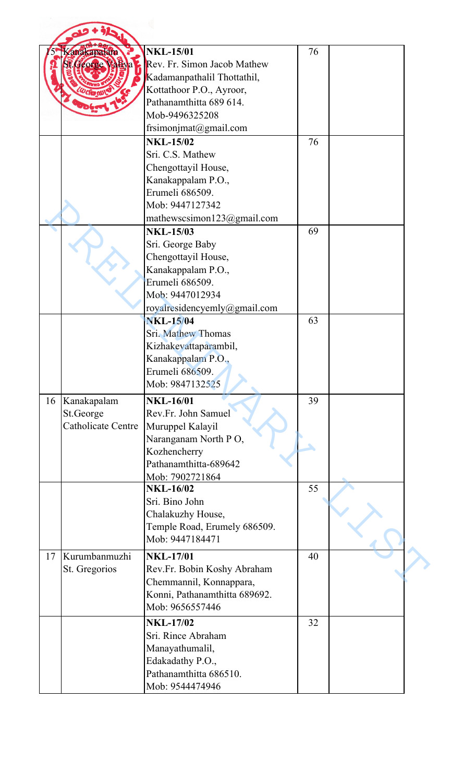|    | Kanakapalam<br>George | <b>NKL-15/01</b><br>Rev. Fr. Simon Jacob Mathew<br>Kadamanpathalil Thottathil, | 76 |  |
|----|-----------------------|--------------------------------------------------------------------------------|----|--|
|    |                       | Kottathoor P.O., Ayroor,<br>Pathanamthitta 689 614.<br>Mob-9496325208          |    |  |
|    |                       | frsimonjmat@gmail.com                                                          |    |  |
|    |                       | <b>NKL-15/02</b><br>Sri. C.S. Mathew                                           | 76 |  |
|    |                       | Chengottayil House,<br>Kanakappalam P.O.,<br>Erumeli 686509.                   |    |  |
|    |                       | Mob: 9447127342<br>mathewscsimon123@gmail.com                                  |    |  |
|    |                       | <b>NKL-15/03</b><br>Sri. George Baby<br>Chengottayil House,                    | 69 |  |
|    |                       | Kanakappalam P.O.,<br>Erumeli 686509.<br>Mob: 9447012934                       |    |  |
|    |                       | royalresidencyemly@gmail.com                                                   |    |  |
|    |                       | <b>NKL-15/04</b>                                                               | 63 |  |
|    |                       | Sri. Mathew Thomas                                                             |    |  |
|    |                       | Kizhakevattaparambil,                                                          |    |  |
|    |                       | Kanakappalam P.O.,                                                             |    |  |
|    |                       | Erumeli 686509.                                                                |    |  |
|    |                       | Mob: 9847132525                                                                |    |  |
| 16 | Kanakapalam           | <b>NKL-16/01</b>                                                               | 39 |  |
|    | St.George             | Rev.Fr. John Samuel                                                            |    |  |
|    | Catholicate Centre    | Muruppel Kalayil                                                               |    |  |
|    |                       | Naranganam North PO,                                                           |    |  |
|    |                       | Kozhencherry                                                                   |    |  |
|    |                       | Pathanamthitta-689642                                                          |    |  |
|    |                       | Mob: 7902721864                                                                |    |  |
|    |                       | <b>NKL-16/02</b>                                                               | 55 |  |
|    |                       | Sri. Bino John                                                                 |    |  |
|    |                       | Chalakuzhy House,                                                              |    |  |
|    |                       | Temple Road, Erumely 686509.                                                   |    |  |
|    |                       | Mob: 9447184471                                                                |    |  |
| 17 | Kurumbanmuzhi         | <b>NKL-17/01</b>                                                               | 40 |  |
|    | St. Gregorios         | Rev.Fr. Bobin Koshy Abraham                                                    |    |  |
|    |                       | Chemmannil, Konnappara,                                                        |    |  |
|    |                       | Konni, Pathanamthitta 689692.                                                  |    |  |
|    |                       | Mob: 9656557446                                                                |    |  |
|    |                       | <b>NKL-17/02</b>                                                               | 32 |  |
|    |                       | Sri. Rince Abraham                                                             |    |  |
|    |                       | Manayathumalil,                                                                |    |  |
|    |                       | Edakadathy P.O.,                                                               |    |  |
|    |                       | Pathanamthitta 686510.                                                         |    |  |
|    |                       | Mob: 9544474946                                                                |    |  |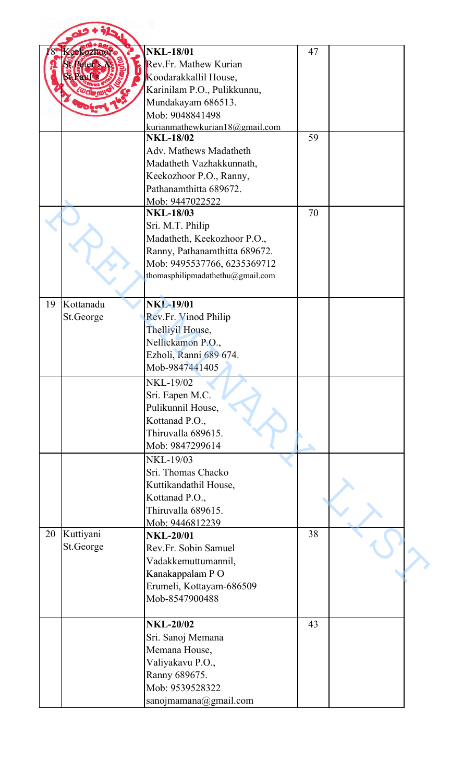|    | Keekozhoor | <b>NKL-18/01</b>                 | 47 |  |
|----|------------|----------------------------------|----|--|
|    |            |                                  |    |  |
|    |            | Rev.Fr. Mathew Kurian            |    |  |
|    |            | Koodarakkallil House,            |    |  |
|    |            | Karinilam P.O., Pulikkunnu,      |    |  |
|    |            | Mundakayam 686513.               |    |  |
|    |            | Mob: 9048841498                  |    |  |
|    |            | kurianmathewkurian18@gmail.com   |    |  |
|    |            | <b>NKL-18/02</b>                 | 59 |  |
|    |            | Adv. Mathews Madatheth           |    |  |
|    |            | Madatheth Vazhakkunnath,         |    |  |
|    |            | Keekozhoor P.O., Ranny,          |    |  |
|    |            | Pathanamthitta 689672.           |    |  |
|    |            | Mob: 9447022522                  |    |  |
|    |            | <b>NKL-18/03</b>                 | 70 |  |
|    |            | Sri. M.T. Philip                 |    |  |
|    |            | Madatheth, Keekozhoor P.O.,      |    |  |
|    |            |                                  |    |  |
|    |            | Ranny, Pathanamthitta 689672.    |    |  |
|    |            | Mob: 9495537766, 6235369712      |    |  |
|    |            | thomasphilipmadathethu@gmail.com |    |  |
|    |            |                                  |    |  |
| 19 | Kottanadu  | <b>NKL-19/01</b>                 |    |  |
|    | St.George  | Rev.Fr. Vinod Philip             |    |  |
|    |            | Thelliyil House,                 |    |  |
|    |            | Nellickamon P.O.,                |    |  |
|    |            | Ezholi, Ranni 689 674.           |    |  |
|    |            |                                  |    |  |
|    |            | Mob-9847441405                   |    |  |
|    |            | <b>NKL-19/02</b>                 |    |  |
|    |            | Sri. Eapen M.C.                  |    |  |
|    |            | Pulikunnil House,                |    |  |
|    |            | Kottanad P.O.,                   |    |  |
|    |            | Thiruvalla 689615.               |    |  |
|    |            | Mob: 9847299614                  |    |  |
|    |            | NKL-19/03                        |    |  |
|    |            | Sri. Thomas Chacko               |    |  |
|    |            |                                  |    |  |
|    |            | Kuttikandathil House,            |    |  |
|    |            | Kottanad P.O.,                   |    |  |
|    |            | Thiruvalla 689615.               |    |  |
|    |            | Mob: 9446812239                  |    |  |
| 20 | Kuttiyani  | <b>NKL-20/01</b>                 | 38 |  |
|    | St.George  | Rev.Fr. Sobin Samuel             |    |  |
|    |            | Vadakkemuttumannil,              |    |  |
|    |            | Kanakappalam PO                  |    |  |
|    |            | Erumeli, Kottayam-686509         |    |  |
|    |            | Mob-8547900488                   |    |  |
|    |            |                                  |    |  |
|    |            | <b>NKL-20/02</b>                 | 43 |  |
|    |            |                                  |    |  |
|    |            | Sri. Sanoj Memana                |    |  |
|    |            | Memana House,                    |    |  |
|    |            | Valiyakavu P.O.,                 |    |  |
|    |            | Ranny 689675.                    |    |  |
|    |            | Mob: 9539528322                  |    |  |
|    |            | sanojmamana@gmail.com            |    |  |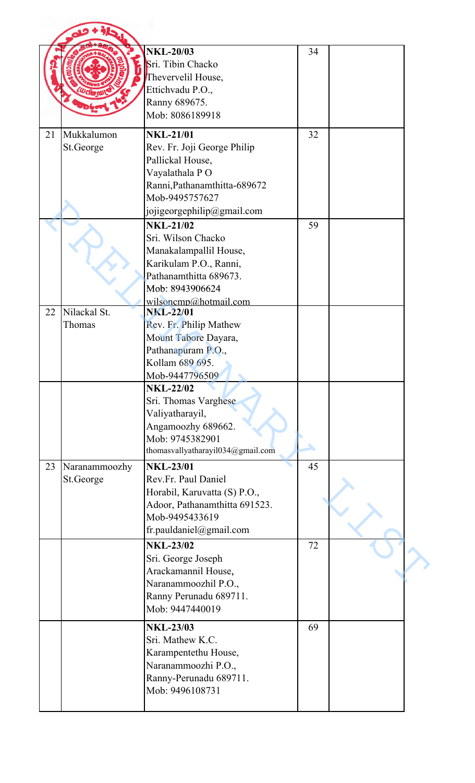|    |               | <b>NKL-20/03</b>                          | 34 |  |
|----|---------------|-------------------------------------------|----|--|
|    |               | Sri. Tibin Chacko                         |    |  |
|    |               | Thevervelil House,                        |    |  |
|    |               | Ettichvadu P.O.,                          |    |  |
|    |               | Ranny 689675.<br>Mob: 8086189918          |    |  |
|    |               |                                           |    |  |
| 21 | Mukkalumon    | <b>NKL-21/01</b>                          | 32 |  |
|    | St.George     | Rev. Fr. Joji George Philip               |    |  |
|    |               | Pallickal House,                          |    |  |
|    |               | Vayalathala PO                            |    |  |
|    |               | Ranni, Pathanamthitta-689672              |    |  |
|    |               | Mob-9495757627                            |    |  |
|    |               | jojigeorgephilip@gmail.com                |    |  |
|    |               | <b>NKL-21/02</b>                          | 59 |  |
|    |               | Sri. Wilson Chacko                        |    |  |
|    |               | Manakalampallil House,                    |    |  |
|    |               | Karikulam P.O., Ranni,                    |    |  |
|    |               | Pathanamthitta 689673.                    |    |  |
|    |               | Mob: 8943906624                           |    |  |
| 22 | Nilackal St.  | wilsoncmp@hotmail.com<br><b>NKL-22/01</b> |    |  |
|    | Thomas        | Rev. Fr. Philip Mathew                    |    |  |
|    |               | Mount Tabore Dayara,                      |    |  |
|    |               | Pathanapuram P.O.,                        |    |  |
|    |               | Kollam 689 695.                           |    |  |
|    |               | Mob-9447796509                            |    |  |
|    |               | <b>NKL-22/02</b>                          |    |  |
|    |               | Sri. Thomas Varghese                      |    |  |
|    |               | Valiyatharayil,                           |    |  |
|    |               | Angamoozhy 689662.                        |    |  |
|    |               | Mob: 9745382901                           |    |  |
|    |               | thomasvallyatharayil034@gmail.com         |    |  |
| 23 | Naranammoozhy | <b>NKL-23/01</b>                          | 45 |  |
|    | St.George     | Rev.Fr. Paul Daniel                       |    |  |
|    |               | Horabil, Karuvatta (S) P.O.,              |    |  |
|    |               | Adoor, Pathanamthitta 691523.             |    |  |
|    |               | Mob-9495433619                            |    |  |
|    |               | fr.pauldaniel@gmail.com                   |    |  |
|    |               | <b>NKL-23/02</b>                          | 72 |  |
|    |               | Sri. George Joseph                        |    |  |
|    |               | Arackamannil House,                       |    |  |
|    |               | Naranammoozhil P.O.,                      |    |  |
|    |               | Ranny Perunadu 689711.                    |    |  |
|    |               | Mob: 9447440019                           |    |  |
|    |               | <b>NKL-23/03</b>                          | 69 |  |
|    |               | Sri. Mathew K.C.                          |    |  |
|    |               | Karampentethu House,                      |    |  |
|    |               | Naranammoozhi P.O.,                       |    |  |
|    |               | Ranny-Perunadu 689711.                    |    |  |
|    |               | Mob: 9496108731                           |    |  |
|    |               |                                           |    |  |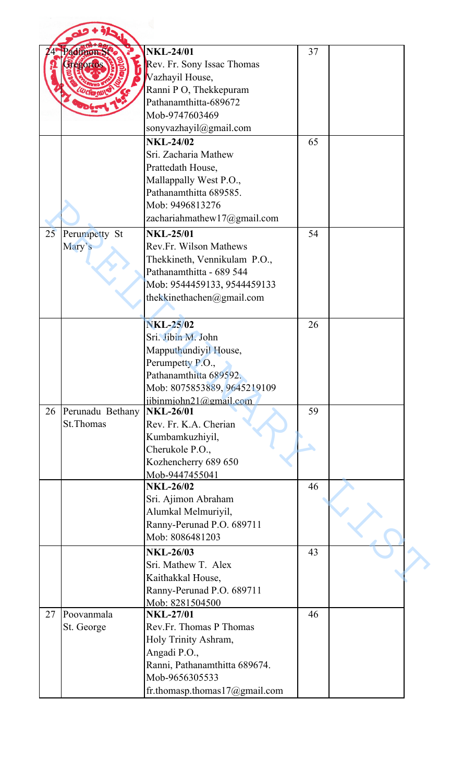|    | adimon St         | <b>NKL-24/01</b>              | 37 |  |
|----|-------------------|-------------------------------|----|--|
|    | <b>Hegorios</b>   | Rev. Fr. Sony Issac Thomas    |    |  |
|    |                   | Vazhayil House,               |    |  |
|    |                   | Ranni P O, Thekkepuram        |    |  |
|    |                   | Pathanamthitta-689672         |    |  |
|    |                   | Mob-9747603469                |    |  |
|    |                   | sonyvazhayil@gmail.com        |    |  |
|    |                   | <b>NKL-24/02</b>              | 65 |  |
|    |                   | Sri. Zacharia Mathew          |    |  |
|    |                   | Prattedath House,             |    |  |
|    |                   |                               |    |  |
|    |                   | Mallappally West P.O.,        |    |  |
|    |                   | Pathanamthitta 689585.        |    |  |
|    |                   | Mob: 9496813276               |    |  |
|    |                   | zachariahmathew17@gmail.com   |    |  |
| 25 | Perumpetty St     | <b>NKL-25/01</b>              | 54 |  |
|    | Mary's            | <b>Rev.Fr. Wilson Mathews</b> |    |  |
|    |                   | Thekkineth, Vennikulam P.O.,  |    |  |
|    |                   | Pathanamthitta - 689 544      |    |  |
|    |                   | Mob: 9544459133, 9544459133   |    |  |
|    |                   | thekkinethachen@gmail.com     |    |  |
|    |                   |                               |    |  |
|    |                   | <b>NKL-25/02</b>              | 26 |  |
|    |                   |                               |    |  |
|    |                   | Sri. Jibin M. John            |    |  |
|    |                   | Mapputhundiyil House,         |    |  |
|    |                   | Perumpetty P.O.               |    |  |
|    |                   | Pathanamthitta 689592.        |    |  |
|    |                   | Mob: 8075853889, 9645219109   |    |  |
|    |                   | iibinmiohn21@gmail.com        |    |  |
| 26 | Perunadu Bethany  | <b>NKL-26/01</b>              | 59 |  |
|    | <b>St. Thomas</b> | Rev. Fr. K.A. Cherian         |    |  |
|    |                   | Kumbamkuzhiyil,               |    |  |
|    |                   | Cherukole P.O.,               |    |  |
|    |                   | Kozhencherry 689 650          |    |  |
|    |                   | Mob-9447455041                |    |  |
|    |                   | <b>NKL-26/02</b>              | 46 |  |
|    |                   | Sri. Ajimon Abraham           |    |  |
|    |                   | Alumkal Melmuriyil,           |    |  |
|    |                   | Ranny-Perunad P.O. 689711     |    |  |
|    |                   | Mob: 8086481203               |    |  |
|    |                   | <b>NKL-26/03</b>              | 43 |  |
|    |                   | Sri. Mathew T. Alex           |    |  |
|    |                   | Kaithakkal House,             |    |  |
|    |                   |                               |    |  |
|    |                   |                               |    |  |
|    |                   | Ranny-Perunad P.O. 689711     |    |  |
|    |                   | Mob: 8281504500               |    |  |
|    | Poovanmala        | <b>NKL-27/01</b>              | 46 |  |
|    | St. George        | Rev.Fr. Thomas P Thomas       |    |  |
|    |                   | Holy Trinity Ashram,          |    |  |
|    |                   | Angadi P.O.,                  |    |  |
|    |                   | Ranni, Pathanamthitta 689674. |    |  |
| 27 |                   | Mob-9656305533                |    |  |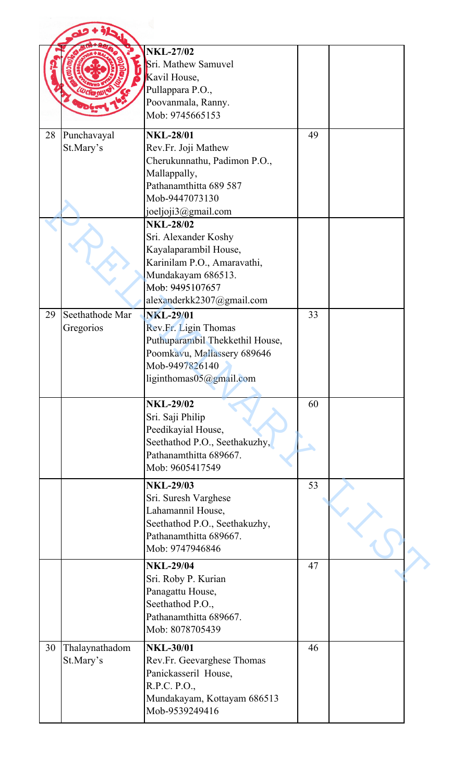|    |                              | <b>NKL-27/02</b><br>Sri. Mathew Samuvel<br>Kavil House,<br>Pullappara P.O.,<br>Poovanmala, Ranny.<br>Mob: 9745665153                                    |    |  |
|----|------------------------------|---------------------------------------------------------------------------------------------------------------------------------------------------------|----|--|
| 28 | Punchavayal<br>St.Mary's     | <b>NKL-28/01</b><br>Rev.Fr. Joji Mathew<br>Cherukunnathu, Padimon P.O.,<br>Mallappally,                                                                 | 49 |  |
|    |                              | Pathanamthitta 689 587<br>Mob-9447073130<br>joeljoji3@gmail.com<br><b>NKL-28/02</b>                                                                     |    |  |
|    |                              | Sri. Alexander Koshy<br>Kayalaparambil House,<br>Karinilam P.O., Amaravathi,<br>Mundakayam 686513.<br>Mob: 9495107657<br>alexanderkk2307@gmail.com      |    |  |
| 29 | Seethathode Mar<br>Gregorios | <b>NKL-29/01</b><br>Rev.Fr. Ligin Thomas<br>Puthuparambil Thekkethil House,<br>Poomkavu, Mallassery 689646<br>Mob-9497826140<br>liginthomas05@gmail.com | 33 |  |
|    |                              | <b>NKL-29/02</b><br>Sri. Saji Philip<br>Peedikayial House,<br>Seethathod P.O., Seethakuzhy,<br>Pathanamthitta 689667.<br>Mob: 9605417549                | 60 |  |
|    |                              | <b>NKL-29/03</b><br>Sri. Suresh Varghese<br>Lahamannil House,<br>Seethathod P.O., Seethakuzhy,<br>Pathanamthitta 689667.<br>Mob: 9747946846             | 53 |  |
|    |                              | <b>NKL-29/04</b><br>Sri. Roby P. Kurian<br>Panagattu House,<br>Seethathod P.O.,<br>Pathanamthitta 689667.<br>Mob: 8078705439                            | 47 |  |
| 30 | Thalaynathadom<br>St.Mary's  | <b>NKL-30/01</b><br>Rev.Fr. Geevarghese Thomas<br>Panickasseril House,<br>R.P.C. P.O.,<br>Mundakayam, Kottayam 686513<br>Mob-9539249416                 | 46 |  |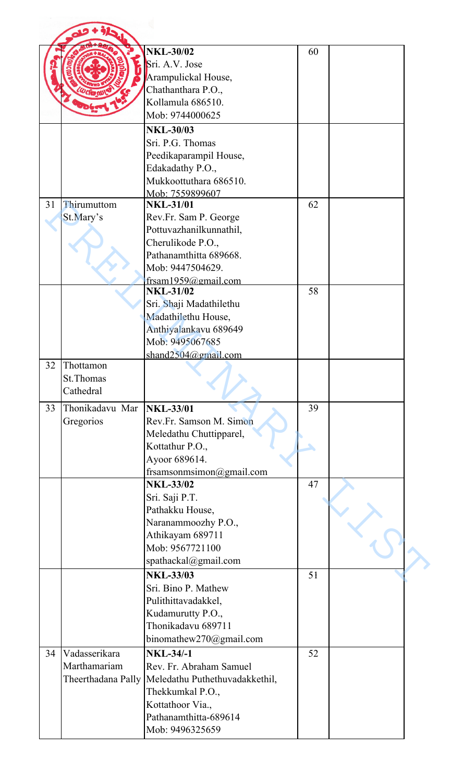|    |                 | <b>NKL-30/02</b>                                    | 60 |  |
|----|-----------------|-----------------------------------------------------|----|--|
|    |                 |                                                     |    |  |
|    |                 | Sri. A.V. Jose                                      |    |  |
|    |                 | Arampulickal House,                                 |    |  |
|    |                 | Chathanthara P.O.,                                  |    |  |
|    |                 | Kollamula 686510.                                   |    |  |
|    |                 | Mob: 9744000625                                     |    |  |
|    |                 | <b>NKL-30/03</b>                                    |    |  |
|    |                 | Sri. P.G. Thomas                                    |    |  |
|    |                 | Peedikaparampil House,                              |    |  |
|    |                 | Edakadathy P.O.,                                    |    |  |
|    |                 | Mukkoottuthara 686510.                              |    |  |
|    |                 | Mob: 7559899607                                     |    |  |
| 31 | Thirumuttom     | <b>NKL-31/01</b>                                    | 62 |  |
|    | St.Mary's       | Rev.Fr. Sam P. George                               |    |  |
|    |                 | Pottuvazhanilkunnathil,                             |    |  |
|    |                 | Cherulikode P.O.,                                   |    |  |
|    |                 | Pathanamthitta 689668.                              |    |  |
|    |                 | Mob: 9447504629.                                    |    |  |
|    |                 | frsam1959@gmail.com                                 |    |  |
|    |                 | <b>NKL-31/02</b>                                    | 58 |  |
|    |                 | Sri. Shaji Madathilethu                             |    |  |
|    |                 | Madathilethu House,                                 |    |  |
|    |                 | Anthiyalankavu 689649                               |    |  |
|    |                 | Mob: 9495067685                                     |    |  |
|    |                 | shand $2504$ @gmail.com                             |    |  |
| 32 | Thottamon       |                                                     |    |  |
|    | St.Thomas       |                                                     |    |  |
|    | Cathedral       |                                                     |    |  |
| 33 | Thonikadavu Mar | <b>NKL-33/01</b>                                    | 39 |  |
|    | Gregorios       | Rev.Fr. Samson M. Simon                             |    |  |
|    |                 | Meledathu Chuttipparel,                             |    |  |
|    |                 | Kottathur P.O.,                                     |    |  |
|    |                 | Ayoor 689614.                                       |    |  |
|    |                 | frsamsonmsimon@gmail.com                            |    |  |
|    |                 | <b>NKL-33/02</b>                                    | 47 |  |
|    |                 | Sri. Saji P.T.                                      |    |  |
|    |                 | Pathakku House,                                     |    |  |
|    |                 | Naranammoozhy P.O.,                                 |    |  |
|    |                 | Athikayam 689711                                    |    |  |
|    |                 | Mob: 9567721100                                     |    |  |
|    |                 |                                                     |    |  |
|    |                 | spathackal@gmail.com                                |    |  |
|    |                 | <b>NKL-33/03</b>                                    | 51 |  |
|    |                 | Sri. Bino P. Mathew                                 |    |  |
|    |                 | Pulithittavadakkel,                                 |    |  |
|    |                 | Kudamurutty P.O.,                                   |    |  |
|    |                 | Thonikadavu 689711                                  |    |  |
|    |                 | binomathew270@gmail.com                             |    |  |
| 34 | Vadasserikara   | <b>NKL-34/-1</b>                                    | 52 |  |
|    | Marthamariam    | Rev. Fr. Abraham Samuel                             |    |  |
|    |                 | Theerthadana Pally   Meledathu Puthethuvadakkethil, |    |  |
|    |                 | Thekkumkal P.O.,                                    |    |  |
|    |                 | Kottathoor Via.,                                    |    |  |
|    |                 | Pathanamthitta-689614                               |    |  |
|    |                 | Mob: 9496325659                                     |    |  |
|    |                 |                                                     |    |  |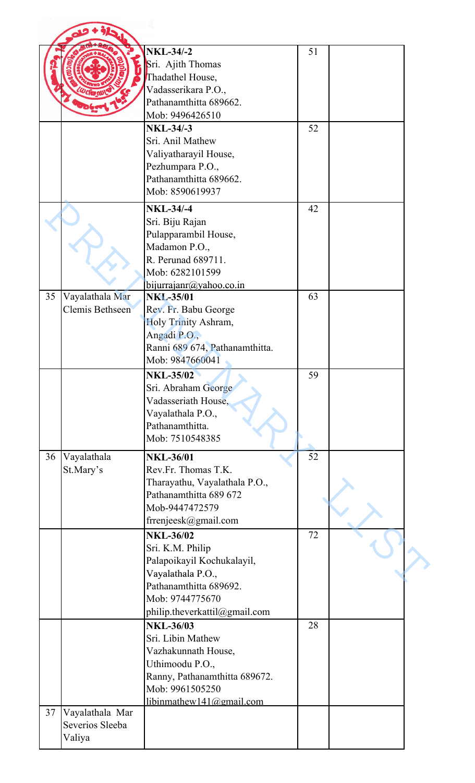|    |                           | <b>NKL-34/-2</b><br>Sri. Ajith Thomas<br>Thadathel House,<br>Vadasserikara P.O.,<br>Pathanamthitta 689662.                                        | 51 |  |
|----|---------------------------|---------------------------------------------------------------------------------------------------------------------------------------------------|----|--|
|    |                           | Mob: 9496426510                                                                                                                                   |    |  |
|    |                           | <b>NKL-34/-3</b>                                                                                                                                  | 52 |  |
|    |                           | Sri. Anil Mathew<br>Valiyatharayil House,<br>Pezhumpara P.O.,<br>Pathanamthitta 689662.<br>Mob: 8590619937                                        |    |  |
|    |                           | <b>NKL-34/-4</b>                                                                                                                                  | 42 |  |
|    |                           | Sri. Biju Rajan<br>Pulapparambil House,<br>Madamon P.O.,<br>R. Perunad 689711.<br>Mob: 6282101599<br>bijurrajanr@yahoo.co.in                      |    |  |
| 35 | Vayalathala Mar           | <b>NKL-35/01</b>                                                                                                                                  | 63 |  |
|    | Clemis Bethseen           | Rev. Fr. Babu George<br>Holy Trinity Ashram,<br>Angadi P.O.,<br>Ranni 689 674, Pathanamthitta.<br>Mob: 9847660041                                 |    |  |
|    |                           | <b>NKL-35/02</b>                                                                                                                                  | 59 |  |
|    |                           | Sri. Abraham George<br>Vadasseriath House,<br>Vayalathala P.O.,<br>Pathanamthitta.<br>Mob: 7510548385                                             |    |  |
| 36 | Vayalathala               | <b>NKL-36/01</b>                                                                                                                                  | 52 |  |
|    | St.Mary's                 | Rev.Fr. Thomas T.K.<br>Tharayathu, Vayalathala P.O.,<br>Pathanamthitta 689 672<br>Mob-9447472579<br>frrenjeesk@gmail.com                          |    |  |
|    |                           | <b>NKL-36/02</b>                                                                                                                                  | 72 |  |
|    |                           | Sri. K.M. Philip<br>Palapoikayil Kochukalayil,<br>Vayalathala P.O.,<br>Pathanamthitta 689692.<br>Mob: 9744775670<br>philip.theverkattil@gmail.com |    |  |
|    |                           | <b>NKL-36/03</b>                                                                                                                                  | 28 |  |
|    |                           | Sri. Libin Mathew<br>Vazhakunnath House,<br>Uthimoodu P.O.,<br>Ranny, Pathanamthitta 689672.<br>Mob: 9961505250                                   |    |  |
| 37 | Vayalathala Mar           | libinmathew141@gmail.com                                                                                                                          |    |  |
|    | Severios Sleeba<br>Valiya |                                                                                                                                                   |    |  |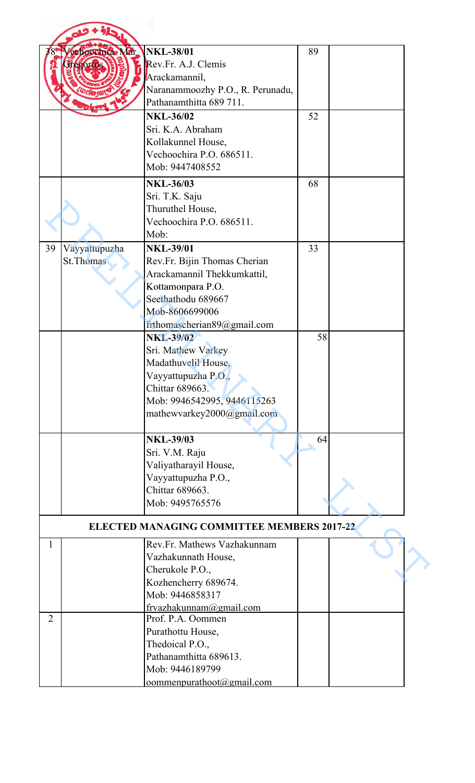|                |                   | <b>NKL-38/01</b>                                  |    |  |
|----------------|-------------------|---------------------------------------------------|----|--|
|                | cehoochra Mar     |                                                   | 89 |  |
|                | <b>Tegorios</b>   | Rev.Fr. A.J. Clemis                               |    |  |
|                |                   | Arackamannil,                                     |    |  |
|                |                   | Naranammoozhy P.O., R. Perunadu,                  |    |  |
|                |                   | Pathanamthitta 689 711.                           |    |  |
|                |                   | <b>NKL-36/02</b>                                  | 52 |  |
|                |                   | Sri. K.A. Abraham                                 |    |  |
|                |                   | Kollakunnel House,                                |    |  |
|                |                   | Vechoochira P.O. 686511.                          |    |  |
|                |                   | Mob: 9447408552                                   |    |  |
|                |                   | <b>NKL-36/03</b>                                  | 68 |  |
|                |                   | Sri. T.K. Saju                                    |    |  |
|                |                   |                                                   |    |  |
|                |                   | Thuruthel House,                                  |    |  |
|                |                   | Vechoochira P.O. 686511.                          |    |  |
|                |                   | Mob:                                              |    |  |
| 39             | Vayyattupuzha     | <b>NKL-39/01</b>                                  | 33 |  |
|                | <b>St. Thomas</b> | Rev.Fr. Bijin Thomas Cherian                      |    |  |
|                |                   | Arackamannil Thekkumkattil,                       |    |  |
|                |                   | Kottamonpara P.O.                                 |    |  |
|                |                   | Seethathodu 689667                                |    |  |
|                |                   | Mob-8606699006                                    |    |  |
|                |                   | frthomascherian89@gmail.com                       |    |  |
|                |                   | <b>NKL-39/02</b>                                  | 58 |  |
|                |                   | Sri. Mathew Varkey                                |    |  |
|                |                   | Madathuvelil House                                |    |  |
|                |                   | Vayyattupuzha P.O.,                               |    |  |
|                |                   | <b>Chittar 689663.</b>                            |    |  |
|                |                   | Mob: 9946542995, 9446115263                       |    |  |
|                |                   |                                                   |    |  |
|                |                   | mathewvarkey2000@gmail.com                        |    |  |
|                |                   |                                                   |    |  |
|                |                   | <b>NKL-39/03</b>                                  | 64 |  |
|                |                   | Sri. V.M. Raju                                    |    |  |
|                |                   | Valiyatharayil House,                             |    |  |
|                |                   | Vayyattupuzha P.O.,                               |    |  |
|                |                   | Chittar 689663.                                   |    |  |
|                |                   | Mob: 9495765576                                   |    |  |
|                |                   | <b>ELECTED MANAGING COMMITTEE MEMBERS 2017-22</b> |    |  |
| 1              |                   | Rev.Fr. Mathews Vazhakunnam                       |    |  |
|                |                   | Vazhakunnath House,                               |    |  |
|                |                   | Cherukole P.O.,                                   |    |  |
|                |                   | Kozhencherry 689674.                              |    |  |
|                |                   | Mob: 9446858317                                   |    |  |
|                |                   |                                                   |    |  |
| $\overline{2}$ |                   | frvazhakunnam@gmail.com<br>Prof. P.A. Oommen      |    |  |
|                |                   |                                                   |    |  |
|                |                   | Purathottu House,                                 |    |  |
|                |                   | Thedoical P.O.,                                   |    |  |
|                |                   | Pathanamthitta 689613.                            |    |  |
|                |                   | Mob: 9446189799                                   |    |  |
|                |                   | commenpurathoot@gmail.com                         |    |  |